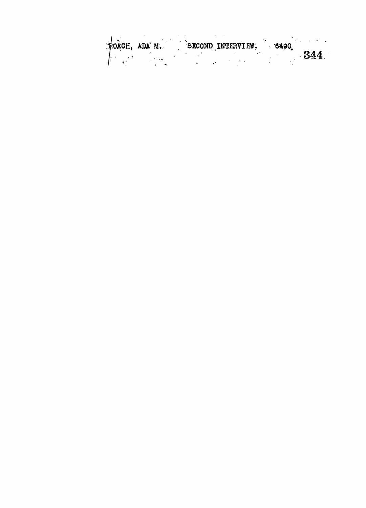| ROACH, ADA M. | SECOND INTERVIEW. |  |  | 6490 |     |
|---------------|-------------------|--|--|------|-----|
|               |                   |  |  |      | 344 |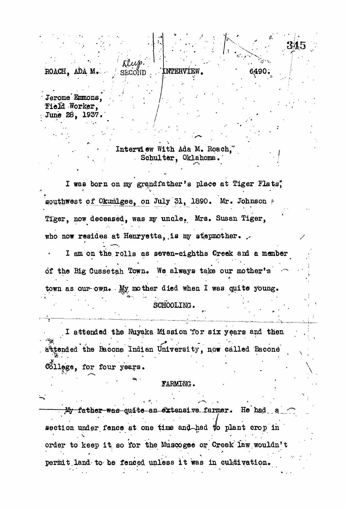ROACH, ADA M. **SECOND** EERMEW,

Jerome Emmons, **Field Worker,** June 28, 1937.

> Interview With Ada M. Roach, Schulter, Oklahoma.'

3,45

6^90.

I was born on my grandfather's place at Tiger Flats, southwest of Okumlgee, on July 31, 1890. Mr. Johnson ?• Tiger, now deceased, was my uncle. Mrs. Susan Tiger, who now resides at Henryetta, is my stepmother. I am on the rolls as seven-eighths Creek and a member of the Big Cussetah Town. We always take our mother's  $\sim$ town as our-own. My mother died when I was quite young. • SCHOOLING. .

I attended the Nuyaka Mission 'for six years and then attended the Bacone Indian University, now called Bacone is a result of the contribution of the contribution of the contribution of the contribution of the contribution of the contribution of the contribution of the contribution of the contribution of the contribution of the co liege, for four years. • ' •

### FARMING.

My father was quite an extensive farmer. He had a section under fence at one time and-had to plant crop in order to keep it so for the Muscogee or Creek law wouldn't permit land to be fenced unless it was in cultivation.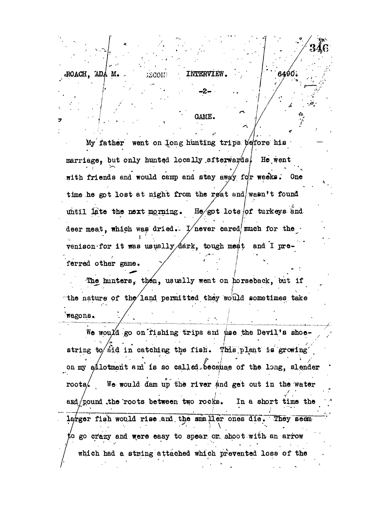GAME.

**1 /,**

My father went on long hunting trips before his marriage, but only hunted locally afterwards, He went with friends and would camp and stay away for weeks. One time he got lost at night from the rest and/wasn't found until late the next morning. He/got lots of turkeys and deer meat, which was dried.  $\sqrt{2}$  never cared much for the venison for it was usually dark, tough meat and I preferred other game.  $\cdot$   $\sim$   $\cdot$   $\cdot$   $\cdot$   $\cdot$ 

The hunters, then, usually went on horseback, but if the nature of the land permitted they would sometimes take 'wagons..

We would go on fishing trips and use the Devil's shoestring to  $\delta$ id in catching the fish. This plant is growing *\* 7 . • \* **! '** *t J '* **% ' /' ;** on my exponsion and to so carred and allowed of the rong, spender **/ ' \*• - •** *' i' • • '* roots/ We would dam up the river and get out in the water and/pound ,the roots between two rocks. In a short time the larger fish would rise and the smaller ones die. They seem to go crazy and were easy to spear or shoot with an arrow which had a string attached which prevented loss of the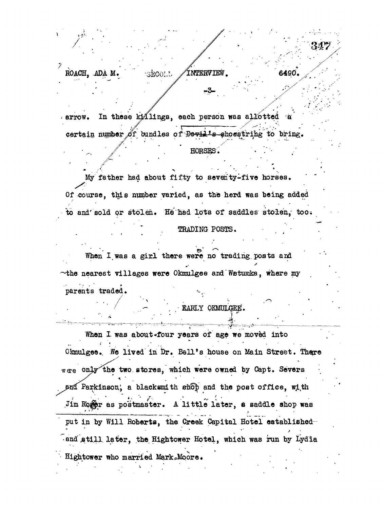#### *7* **, ROACH, ADA M.** SECOLU **INTERVIEW**

 $\,$  ,  $\,$  ,  $\,$  ,  $\,$  ,  $\,$  ,  $\,$  ,  $\,$  ,  $\,$  ,  $\,$  ,  $\,$  ,  $\,$  ,  $\,$  ,  $\,$  ,  $\,$  ,  $\,$  ,  $\,$  ,  $\,$  ,  $\,$  ,  $\,$  ,  $\,$  ,  $\,$  ,  $\,$  ,  $\,$  ,  $\,$  ,  $\,$  ,  $\,$  ,  $\,$  ,  $\,$  ,  $\,$  ,  $\,$  ,  $\,$  ,  $\,$ 

arrow. In these killings, each person was allotted a certain number of bundles of Devil's showstrihg to bring.

#### */'''•'- . ' , " • • /' "* \*\*" " ' '••'• - **. HORSES. • •" •**

6490.

My father had about fifty to seventy-five horses. Of course, this number varied, as the herd was being added to and sold or stolen. He had lots of saddles stolen, too.

## TRADING POSTS.

 $\mathcal{L}(\mathcal{L}(\mathcal{L}(\mathcal{L}(\mathcal{L}(\mathcal{L}(\mathcal{L}(\mathcal{L}(\mathcal{L}(\mathcal{L}(\mathcal{L}(\mathcal{L}(\mathcal{L}(\mathcal{L}(\mathcal{L}(\mathcal{L}(\mathcal{L}(\mathcal{L}(\mathcal{L}(\mathcal{L}(\mathcal{L}(\mathcal{L}(\mathcal{L}(\mathcal{L}(\mathcal{L}(\mathcal{L}(\mathcal{L}(\mathcal{L}(\mathcal{L}(\mathcal{L}(\mathcal{L}(\mathcal{L}(\mathcal{L}(\mathcal{L}(\mathcal{L}(\mathcal{L}(\mathcal{$ 

When I was a girl there were no trading posts and • . - *'*  $\sim$ the nearest villages were Okmulgee and WBtumka, where my parents traded.

EARLY OKMULGEE.

When I was about four years of age we moved into Okmulgee. We lived in Dr. Bell's house on Main Street. There were only the two stores, which were owned by Capt. Severs / *' \* ' •* - ' ' ' . '  $P$ arkinson, a blacksmith shop and the post office, with Jim Rower as postmaster. A little later, a saddle shop was put in by Will Roberts, the Creek Capital Hotel establishedand still later, the Hightower Hotel, which was run by Lydia Hightower who married Mark Moore.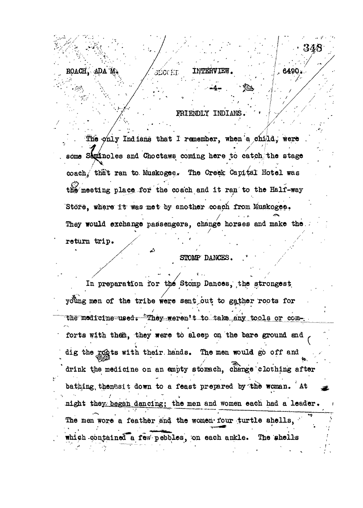# IRIENDLY INDIAUB.

**INTERVIE** 

6490

*: <sup>v</sup> • .* **..-4 - . '\* \$**

3200 f.T

. The  $\phi$ nly Indians that I remember, when a child, were some Saminoles and Choctaws coming here to catch the stage coach/ that ran to Muskogee. The Creek Capital Hotel was the meeting place for the coach and it ran to the Half-way Store, where it was met by another coach from Muskogee. They would exchange passengers, change horses and make the return trip.

*. /•\*''•\* ' '."'•••*

*it* **. ' '•**

**"'-\*"• . .**

**iDA-%**

**ROACH, i**

## STOMP DANCES.

In preparation for the Stomp Dances, the strongest young men of the tribe were sent out to gather roots for the medicine used. "They weren't to take any tools or comforts with them, they were to sleep on the bare ground and dig the rosts with their hands. The men would go off and drink the medicine on an empty stomach, change'clothing after bathing, then esit down to a feast prepared by the woman. At night they began dancing; the men and women each had a leader.  *y* The men wore a feather and the women four turtle shells, which contained a few pebbles, on each ankle. The shells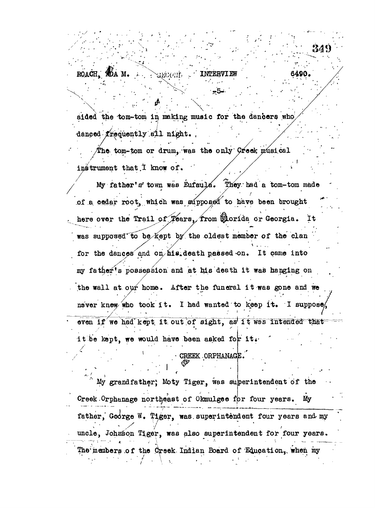**ROACH YOA M.** ECONT

aided the tom-tom in making music for the dancers who  $d$ anced  $% f$ requently all night.

" 34?)

6490.

The tom-tom or drum, was the only  $G$ reek musical instrument that  $I$  know of.

My father's town was Eufaula. They had a tom-tom made of a cedar root, which was supposed to have been brought here over the Trail of Tears. from @dorida or Georgia. It was supposed to be kept by the oldest member of the clan .<br>\* . . . . for the dances and on his death passed on. It came into my father's possession and at his death it was hanging on the wall at our home. After the funeral it was gone and we **, / • • . • , ' ( » •** never knew who took it. I had wanted to keep it. I suppose even if we had kept, it out of sight, as it was intended that it be kept, we would have been asked for it.

• CREEK ORPHANAGE.

My grandfather, Moty Tiger, was superintendent of the Creek. Orphanage northeast of Okmulgee for four years. My father, Goorge W. Tiger, was superintendent four years and my **7 '• •**  $\frac{1}{2}$  superintendent  $\frac{1}{2}$  and  $\frac{1}{2}$  and  $\frac{1}{2}$  and  $\frac{1}{2}$  and  $\frac{1}{2}$  and  $\frac{1}{2}$  and  $\frac{1}{2}$ The members of the Creek Indian Board of Education, when my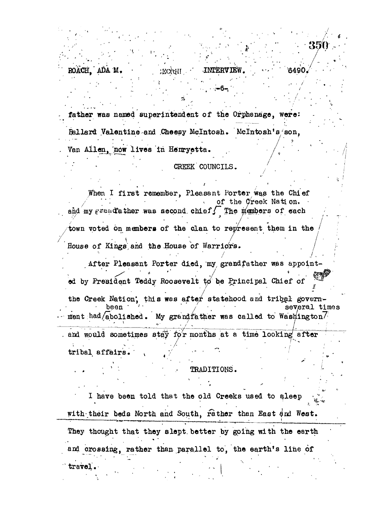father was named superintendent of the Orphanage, were: Ballard Valentine and Cheesy Mclntosh. Mclntosh's'son, Van Allen, now lives in Henryetta.

ROACH, ADAM. **• HECGANIEW. HECKERVIEW.** • 19490

#### CREEK COUNCILS.

*• arm*

**/**

/

*i <*

When I first remember, Pleasant Porter was the Chief of the Creek Nation. and my  $\varepsilon$ rendather was second chief/ The manhers of each town voted on members of the clan to represent them in the House of Kings and the House of Warriors.

After Pleasant Porter died, "my, grandfather was appointed by President Teddy Roosevelt *w* be Principal Chief of

the Creek Nation', this was after statehood and tribal govern-<br>been several ti several times ment had/abolished. My grandfather was called to Washington $7$ and would sometimes stay for months at a time looking after

**; ' ./ ." '"••./• ' " ' • 7 ^**  $tribal$  affairs.

travel.-

### $\mathtt{TRADITIONS}$  .

I have been told that the old Creeks used to qleep *' 7* with their beds North and South, rather than East and West. They thought that they slept better by going with the earth and orosaing, rather than parallel to, the earth's line of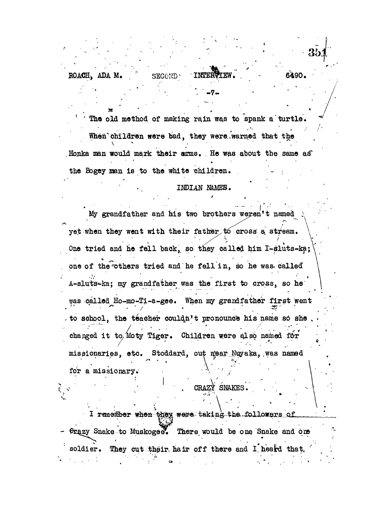• -7. *K*

ROACH, ADA M. SECOND.

When children were bad, they were warned that the . Honka man would mark their anns. . He was about the same as the Bogey man is to the white children.

The old method of making rain was to spank a turtle.

### INDIAN N&MEB.

**TENTURE** 

**LJBin. .** 6490\*

**' • ^ . y,.- «... -..** My grandfather and his two brothers weren't named yet when they went with their father to cross a stream. One tried and he fell back, so they called him I-sluts-ka; one of the others tried and he fell in, so he was. called A-sluts-ka; my grandfather was the first to cross, so he ^aa called Ho-mo-Ti-a-gee. When my grandfather first went to school, the teacher couldn't pronounce his name so she changed it to Moty Tiger. Children were also named for missionaries, etc. Stoddard, out near Nuyaka, was named for a missionary.

## CRAZY SNAKES.

I remember when they were taking the followers of frazy Snake to Muskogee. There would be one Snake and one soldier. They cut their hair off there and I heard that.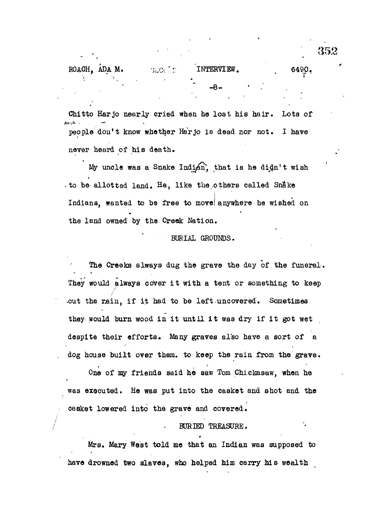| ROACH, ADA M. |  | <b>BLOCTE</b> | INTERVIEW. |  | 6490. |
|---------------|--|---------------|------------|--|-------|
|               |  |               | -8-        |  |       |

Chitto Harjo nearly cried when ho lost his hair. Lots of . خر*انل*اق people don't know whether Harjo is dead nor not. I have never heard of his death.

My uncle was a Snake Indian, that is he didn't wish • to be-allotted land. He, like the .others called Sn&ke Indians, wanted to be free to move anywhere he wished on the land owned by the Creek Nation.

#### BURIAL GROUNDS.

*t*

The Creeks always dug the grave the day of the funeral. They would always cover it with a tent or something to keep / out the rain, if it had to be left-uncovered. Sometimes they would burn wood in it until it was dry if it got wet despite their efforts. Many graves also have a sort of a dog house built over them, to keep the rain from the grave.

One of my friends said he saw Tom Chickasaw, when he was executed. He was put into the casket and shot and the casket lowered into the grave and covered.

#### BURIED TREASURE. BURIED TREASURE.

Mrs. Mary West told me that an Indian was supposed to have drowned two slaves, who helped him carry his wealth

•